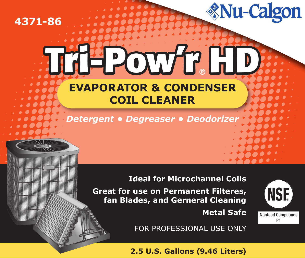# **4371-86**

# **Tri-Pow'r HD EVAPORATOR & CONDENSER COIL CLEANER**

*Detergent • Degreaser • Deodorizer*

## **Ideal for Microchannel Coils**

**Great for use on Permanent Filteres, fan Blades, and Gerneral Cleaning**

 **Metal Safe**

**NSF** Nonfood Compounds P1

*<u>Mu-Calgon</u>* 

FOR PROFESSIONAL USE ONLY

## **2.5 U.S. Gallons (9.46 Liters)**